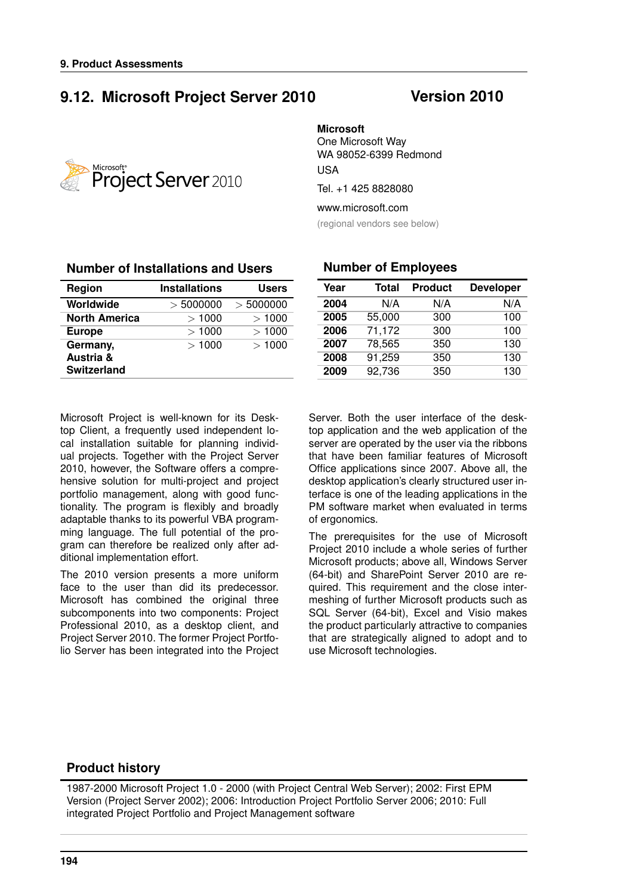# **9.12. Microsoft Project Server 2010 Version 2010**



#### **Microsoft**

One Microsoft Way WA 98052-6399 Redmond USA

Tel. +1 425 8828080

www.microsoft.com

(regional vendors see below)

| Region               | <b>Installations</b> | <b>Users</b> |
|----------------------|----------------------|--------------|
| Worldwide            | > 5000000            | > 5000000    |
| <b>North America</b> | >1000                | >1000        |
| <b>Europe</b>        | >1000                | >1000        |
| Germany,             | >1000                | >1000        |
| Austria &            |                      |              |
| <b>Switzerland</b>   |                      |              |

#### **Number of Installations and Users**

#### **Number of Employees**

| Year | Total  | <b>Product</b> | <b>Developer</b> |
|------|--------|----------------|------------------|
| 2004 | N/A    | N/A            | N/A              |
| 2005 | 55,000 | 300            | 100              |
| 2006 | 71,172 | 300            | 100              |
| 2007 | 78,565 | 350            | 130              |
| 2008 | 91,259 | 350            | 130              |
| 2009 | 92,736 | 350            | 130              |

Microsoft Project is well-known for its Desktop Client, a frequently used independent local installation suitable for planning individual projects. Together with the Project Server 2010, however, the Software offers a comprehensive solution for multi-project and project portfolio management, along with good functionality. The program is flexibly and broadly adaptable thanks to its powerful VBA programming language. The full potential of the program can therefore be realized only after additional implementation effort.

The 2010 version presents a more uniform face to the user than did its predecessor. Microsoft has combined the original three subcomponents into two components: Project Professional 2010, as a desktop client, and Project Server 2010. The former Project Portfolio Server has been integrated into the Project

Server. Both the user interface of the desktop application and the web application of the server are operated by the user via the ribbons that have been familiar features of Microsoft Office applications since 2007. Above all, the desktop application's clearly structured user interface is one of the leading applications in the PM software market when evaluated in terms of ergonomics.

The prerequisites for the use of Microsoft Project 2010 include a whole series of further Microsoft products; above all, Windows Server (64-bit) and SharePoint Server 2010 are required. This requirement and the close intermeshing of further Microsoft products such as SQL Server (64-bit), Excel and Visio makes the product particularly attractive to companies that are strategically aligned to adopt and to use Microsoft technologies.

#### **Product history**

1987-2000 Microsoft Project 1.0 - 2000 (with Project Central Web Server); 2002: First EPM Version (Project Server 2002); 2006: Introduction Project Portfolio Server 2006; 2010: Full integrated Project Portfolio and Project Management software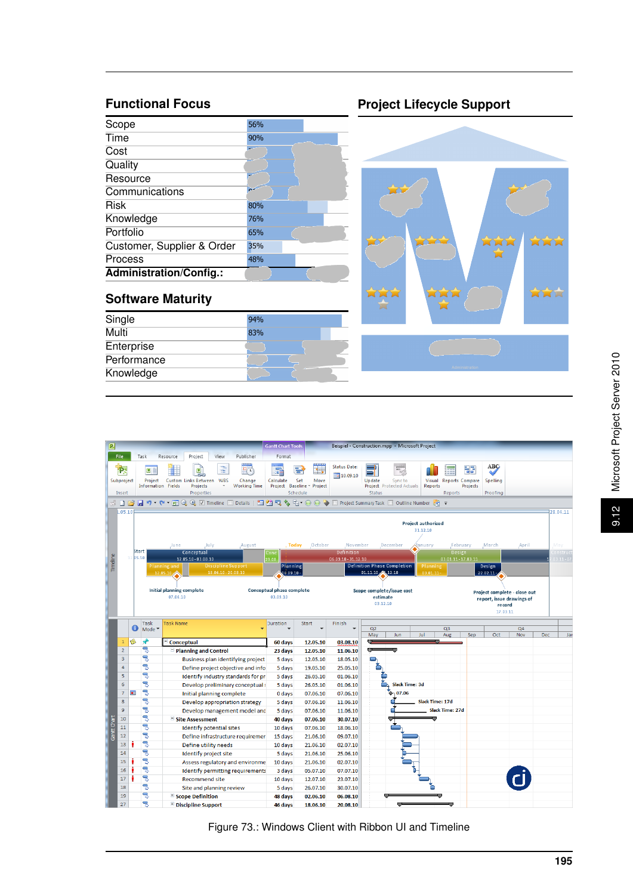# **Functional Focus**

| Scope                      | 56% |  |
|----------------------------|-----|--|
| Time                       | 90% |  |
| Cost                       |     |  |
| Quality                    |     |  |
| Resource                   |     |  |
| Communications             |     |  |
| Risk                       | 80% |  |
| Knowledge                  | 76% |  |
| Portfolio                  | 65% |  |
| Customer, Supplier & Order | 35% |  |
| Process                    | 48% |  |
| Administration/Config.:    |     |  |

# **Software Maturity**

| Single      | 94% |
|-------------|-----|
| Multi       | 83% |
| Enterprise  |     |
| Performance |     |
| Knowledge   |     |

# **Project Lifecycle Support**



| $\boxed{P}$ |                                       |                |                           |                                                                                                                             | <b>Gantt Chart Tools</b>              |                                                      |                                   | Beispiel - Construction.mpp - Microsoft Project                                                                                                                                            |
|-------------|---------------------------------------|----------------|---------------------------|-----------------------------------------------------------------------------------------------------------------------------|---------------------------------------|------------------------------------------------------|-----------------------------------|--------------------------------------------------------------------------------------------------------------------------------------------------------------------------------------------|
|             | File                                  |                | Task                      | Project<br>View<br>Publisher<br>Resource                                                                                    | Format                                |                                                      |                                   |                                                                                                                                                                                            |
|             | <b>P.</b><br>Subproject               |                | $\boxed{B}$<br>Project    | aaaaa<br>Ť<br>马<br>e.<br>Custom Links Between WBS<br>Change<br><b>Information Fields</b><br>Projects<br><b>Working Time</b> | ۰.<br>Calculate<br>Project Baseline - | mm<br><del>15</del><br>ie:<br>Set<br>Move<br>Project | <b>Status Date:</b><br>10.09.10   | ABC<br>$\overline{\mathbf{e}_\varphi}$<br>부리<br>Update<br>Sync to<br>Visual<br><b>Reports Compare</b><br><b>Spelling</b><br>Project Protected Actuals<br><b>Reports</b><br><b>Projects</b> |
|             | Insert                                |                |                           | Properties                                                                                                                  |                                       | Schedule                                             |                                   | Status<br>Proofing<br>Reports                                                                                                                                                              |
|             |                                       |                |                           |                                                                                                                             |                                       |                                                      |                                   |                                                                                                                                                                                            |
|             | .05.10                                |                |                           |                                                                                                                             |                                       |                                                      |                                   | 28.04.11                                                                                                                                                                                   |
|             | <b>Project authorized</b><br>31.12.10 |                |                           |                                                                                                                             |                                       |                                                      |                                   |                                                                                                                                                                                            |
|             |                                       |                |                           | June<br>July.<br>August                                                                                                     | , Today                               | October                                              | November                          | May<br>December<br>anuary<br>February<br>March<br>April                                                                                                                                    |
|             |                                       |                | <b>Start</b><br>12.05.10  | Conceptual<br>12.05.10 - 03.08.10                                                                                           | Conc<br>23.08                         |                                                      | Definition<br>06.09.10 - 31.12.10 | Design<br>onstruct<br>03.01.11 - 17.03.11<br>$03.11 - 07$                                                                                                                                  |
| Timeline    |                                       |                |                           | <b>Discipline Support</b><br>Planning and                                                                                   | Planning                              |                                                      |                                   | <b>Definition Phase Completion</b><br>Planning<br>Design                                                                                                                                   |
|             |                                       |                |                           | $18.06.10 - 20.08.10$<br>12.05.10,                                                                                          | 06.09.10 -                            |                                                      |                                   | 01.11.10 2 12.10<br>$03.01.11 -$<br>$22.02.11 -$                                                                                                                                           |
|             |                                       |                |                           |                                                                                                                             |                                       |                                                      |                                   |                                                                                                                                                                                            |
|             |                                       |                |                           | Initial planning complete                                                                                                   | Conceptual phase complete             |                                                      |                                   | Scope complete/issue cost<br>Project complete - close out                                                                                                                                  |
|             |                                       |                |                           | 07.06.10                                                                                                                    | 03.09.10                              |                                                      |                                   | estimate<br>report, issue drawings of                                                                                                                                                      |
|             |                                       |                |                           |                                                                                                                             |                                       |                                                      |                                   | 03.12.10<br>record<br>17.03.11                                                                                                                                                             |
|             |                                       |                |                           |                                                                                                                             |                                       |                                                      |                                   |                                                                                                                                                                                            |
|             |                                       | Œ              | <b>Task</b>               | <b>Task Name</b>                                                                                                            | Duration                              | <b>Start</b>                                         | Finish                            | Q2<br>Q <sub>3</sub><br>Q <sub>4</sub>                                                                                                                                                     |
|             |                                       |                | Mode $\blacktriangledown$ |                                                                                                                             |                                       |                                                      |                                   | Jul<br>May<br>Sep<br>Oct<br>Nov<br>Jar<br>Jun<br>Aug<br><b>Dec</b>                                                                                                                         |
|             | $\mathbf{1}$                          | ۱              | ۰ř                        | Conceptual                                                                                                                  | 60 days                               | 12.05.10                                             | 03.08.10                          |                                                                                                                                                                                            |
|             | $\overline{2}$                        |                | 马                         | $\blacksquare$ Planning and Control                                                                                         | 23 days                               | 12.05.10                                             | 11.06.10                          | O                                                                                                                                                                                          |
|             | $\mathbf{3}$                          |                | 导                         | Business plan identifying project                                                                                           | 5 days                                | 12.05.10                                             | 18.05.10                          |                                                                                                                                                                                            |
|             | 4                                     |                | 冐                         | Define project objective and info                                                                                           | 5 days                                | 19.05.10                                             | 25.05.10                          |                                                                                                                                                                                            |
|             | 5                                     |                | 륗                         | Identify industry standards for pri                                                                                         | 5 days                                | 26.05.10                                             | 01.06.10                          |                                                                                                                                                                                            |
|             | 6                                     |                | 忌                         | Develop preliminary conceptual :                                                                                            | 5 days                                | 26.05.10                                             | 01.06.10                          | Slack Time: 3d                                                                                                                                                                             |
|             | $\overline{7}$                        | $\blacksquare$ | 晑                         | Initial planning complete                                                                                                   | 0 days                                | 07.06.10                                             | 07.06.10                          | $\bullet$ 07.06                                                                                                                                                                            |
|             | 8                                     |                | 晑                         | Develop appropriation strategy                                                                                              | 5 days                                | 07.06.10                                             | 11.06.10                          | Slack Time: 17d                                                                                                                                                                            |
|             | $\overline{9}$                        |                | 팋                         | Develop management model and                                                                                                | 5 days                                | 07.06.10                                             | 11.06.10                          | Slack Time: 27d                                                                                                                                                                            |
|             | 10                                    |                | 冐                         | Site Assessment                                                                                                             | 40 days                               | 07.06.10                                             | 30.07.10                          |                                                                                                                                                                                            |
| Gantt Chart | 11                                    |                | 号                         | <b>Identify potential sites</b>                                                                                             | 10 days                               | 07.06.10                                             | 18.06.10                          |                                                                                                                                                                                            |
|             | 12                                    |                | 晑                         | Define infrastructure requiremer                                                                                            | 15 days                               | 21.06.10                                             | 09.07.10                          |                                                                                                                                                                                            |
|             | 13                                    |                | 号                         | Define utility needs                                                                                                        | 10 days                               | 21.06.10                                             | 02.07.10                          |                                                                                                                                                                                            |
|             | 14                                    |                | 쀙                         | Identify project site                                                                                                       | 5 days                                | 21.06.10                                             | 25.06.10                          |                                                                                                                                                                                            |
|             | 15                                    |                | 晑                         | Assess regulatory and environme                                                                                             | 10 days                               | 21.06.10                                             | 02.07.10                          |                                                                                                                                                                                            |
|             | 16                                    |                | 쀙                         | Identify permitting requirements                                                                                            | 3 days                                | 05.07.10                                             | 07.07.10                          |                                                                                                                                                                                            |
|             | 17                                    |                | 导                         | <b>Recommend site</b>                                                                                                       | 10 days                               | 12.07.10                                             | 23.07.10                          |                                                                                                                                                                                            |
|             | 18                                    |                | B                         | Site and planning review                                                                                                    | 5 days                                | 26.07.10                                             | 30.07.10                          |                                                                                                                                                                                            |
|             | 19                                    |                | 륗                         | <b>Excope Definition</b>                                                                                                    | 48 days                               | 02.06.10                                             | 06.08.10                          |                                                                                                                                                                                            |
|             | 27                                    |                | 乬                         | $\pm$ Discipline Support                                                                                                    | 46 days                               | 18.06.10                                             | 20.08.10                          |                                                                                                                                                                                            |

Figure 73.: Windows Client with Ribbon UI and Timeline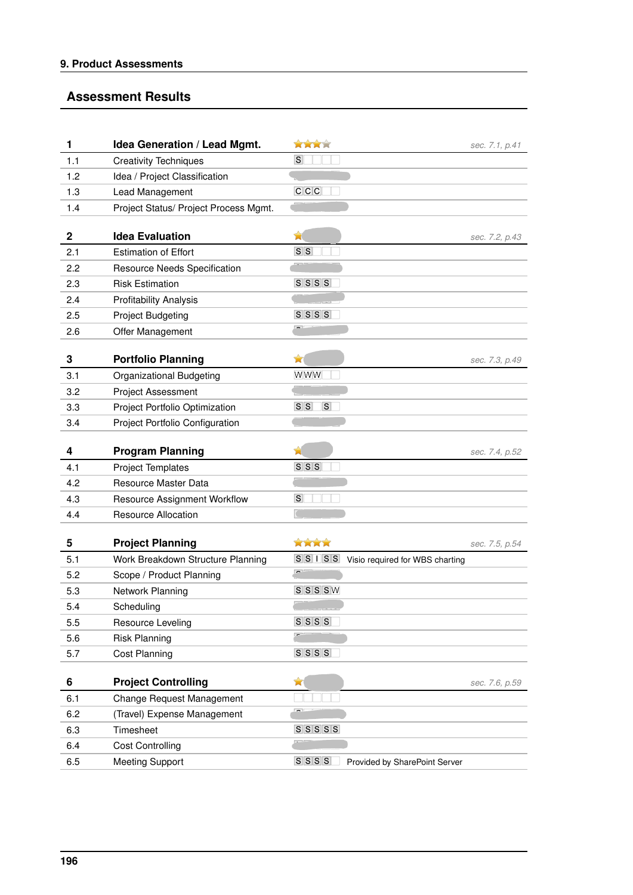#### **Assessment Results**

| 1           | Idea Generation / Lead Mgmt.          | XXXX                                               | sec. 7.1, p.41 |
|-------------|---------------------------------------|----------------------------------------------------|----------------|
| 1.1         | <b>Creativity Techniques</b>          | S                                                  |                |
| 1.2         | Idea / Project Classification         |                                                    |                |
| 1.3         | Lead Management                       | C C C                                              |                |
| 1.4         | Project Status/ Project Process Mgmt. |                                                    |                |
|             |                                       |                                                    |                |
| $\mathbf 2$ | <b>Idea Evaluation</b>                | Ŵ                                                  | sec. 7.2, p.43 |
| 2.1         | <b>Estimation of Effort</b>           | S S                                                |                |
| 2.2         | Resource Needs Specification          |                                                    |                |
| 2.3         | <b>Risk Estimation</b>                | $S$ $S$ $S$ $S$                                    |                |
| 2.4         | <b>Profitability Analysis</b>         |                                                    |                |
| 2.5         | <b>Project Budgeting</b>              | $S$ $S$ $S$                                        |                |
| 2.6         | Offer Management                      |                                                    |                |
|             |                                       |                                                    |                |
| 3           | <b>Portfolio Planning</b>             | ×                                                  | sec. 7.3, p.49 |
| 3.1         | <b>Organizational Budgeting</b>       | WWW                                                |                |
| 3.2         | <b>Project Assessment</b>             |                                                    |                |
| 3.3         | Project Portfolio Optimization        | S S <br>$\Box$ s                                   |                |
| 3.4         | Project Portfolio Configuration       |                                                    |                |
| 4           | <b>Program Planning</b>               |                                                    |                |
| 4.1         | <b>Project Templates</b>              | $S \, S \, S$                                      | sec. 7.4, p.52 |
| 4.2         | Resource Master Data                  |                                                    |                |
| 4.3         | <b>Resource Assignment Workflow</b>   | $\vert S \vert$                                    |                |
| 4.4         | <b>Resource Allocation</b>            |                                                    |                |
|             |                                       |                                                    |                |
| 5           | <b>Project Planning</b>               | <b>XXXX</b>                                        | sec. 7.5, p.54 |
| 5.1         | Work Breakdown Structure Planning     | $S\ S\ I\ S\ S$<br>Visio required for WBS charting |                |
| 5.2         | Scope / Product Planning              | $\overline{\phantom{0}}$                           |                |
| 5.3         | Network Planning                      | $S/S/S$ W                                          |                |
| 5.4         | Scheduling                            | $-1$ $-1$ $-1$                                     |                |
| 5.5         | Resource Leveling                     | $S$ $S$ $S$ $S$                                    |                |
| 5.6         | <b>Risk Planning</b>                  |                                                    |                |
| 5.7         | <b>Cost Planning</b>                  | $S$ $S$ $S$ $S$                                    |                |
|             |                                       |                                                    |                |
| 6           | <b>Project Controlling</b>            | ×                                                  | sec. 7.6, p.59 |
| 6.1         | Change Request Management             |                                                    |                |
| 6.2         | (Travel) Expense Management           |                                                    |                |
| 6.3         | Timesheet                             | $S$ $S$ $S$ $S$ $S$                                |                |
| 6.4         | <b>Cost Controlling</b>               |                                                    |                |
| 6.5         | <b>Meeting Support</b>                | $S$ $S$ $S$ $S$<br>Provided by SharePoint Server   |                |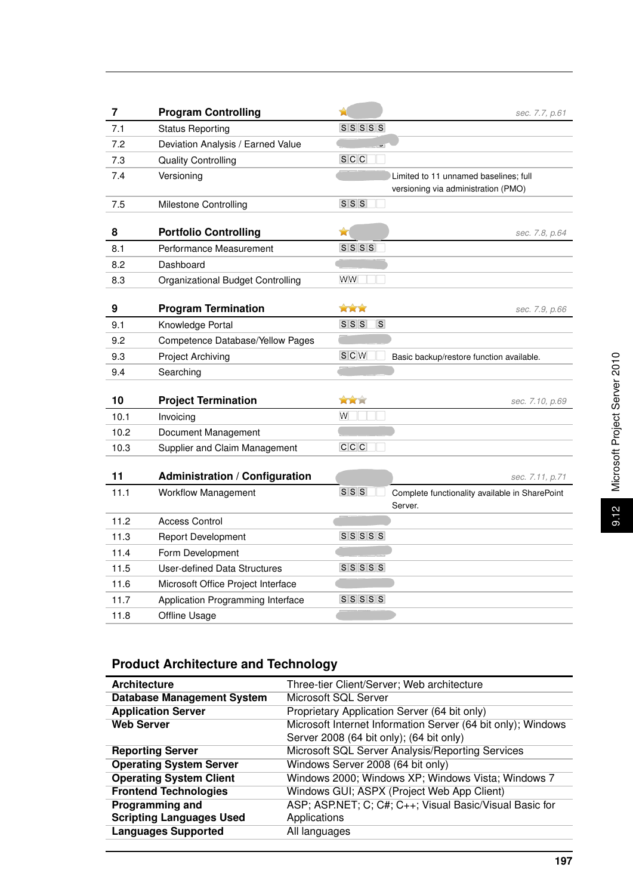| $\overline{\mathbf{7}}$ | <b>Program Controlling</b>            | Ĥ                        | sec. 7.7, p.61                                 |
|-------------------------|---------------------------------------|--------------------------|------------------------------------------------|
| 7.1                     | <b>Status Reporting</b>               | $S$ $S$ $S$ $S$ $S$      |                                                |
| 7.2                     | Deviation Analysis / Earned Value     |                          |                                                |
| 7.3                     | <b>Quality Controlling</b>            | S C C                    |                                                |
| 7.4                     | Versioning                            |                          | Limited to 11 unnamed baselines; full          |
|                         |                                       |                          | versioning via administration (PMO)            |
| 7.5                     | <b>Milestone Controlling</b>          | $S$ $S$ $S$              |                                                |
|                         |                                       |                          |                                                |
| 8                       | <b>Portfolio Controlling</b>          | ✿                        | sec. 7.8, p.64                                 |
| 8.1                     | Performance Measurement               | $S$ $S$ $S$              |                                                |
| 8.2                     | Dashboard                             |                          |                                                |
| 8.3                     | Organizational Budget Controlling     | WW                       |                                                |
|                         |                                       |                          |                                                |
| 9                       | <b>Program Termination</b>            | XXX                      | sec. 7.9, p.66                                 |
| 9.1                     | Knowledge Portal                      | $S$ $S$ $S$<br>$\vert$ S |                                                |
| 9.2                     | Competence Database/Yellow Pages      |                          |                                                |
| 9.3                     | Project Archiving                     | $S$ C $W$                | Basic backup/restore function available.       |
| 9.4                     | Searching                             |                          |                                                |
| 10                      | <b>Project Termination</b>            | XXX                      | sec. 7.10, p.69                                |
| 10.1                    | Invoicing                             | W                        |                                                |
| 10.2                    | Document Management                   |                          |                                                |
| 10.3                    | Supplier and Claim Management         | C C C                    |                                                |
|                         |                                       |                          |                                                |
| 11                      | <b>Administration / Configuration</b> |                          | sec. 7.11, p.71                                |
| 11.1                    | <b>Workflow Management</b>            | S S S                    | Complete functionality available in SharePoint |
|                         |                                       |                          | Server.                                        |
| 11.2                    | <b>Access Control</b>                 |                          |                                                |
| 11.3                    | <b>Report Development</b>             | $S\ S\ S\ S$             |                                                |
| 11.4                    | Form Development                      |                          |                                                |
| 11.5                    | <b>User-defined Data Structures</b>   | $S$ $S$ $S$ $S$          |                                                |
| 11.6                    | Microsoft Office Project Interface    |                          |                                                |
| 11.7                    | Application Programming Interface     | $S$ $S$ $S$ $S$          |                                                |
| 11.8                    | Offline Usage                         |                          |                                                |

# Microsoft Project Server 2010 9.12 Microsoft Project Server 2010  $9.12$

# **Product Architecture and Technology**

| <b>Architecture</b>               | Three-tier Client/Server; Web architecture                   |
|-----------------------------------|--------------------------------------------------------------|
| <b>Database Management System</b> | Microsoft SQL Server                                         |
| <b>Application Server</b>         | Proprietary Application Server (64 bit only)                 |
| <b>Web Server</b>                 | Microsoft Internet Information Server (64 bit only); Windows |
|                                   | Server 2008 (64 bit only); (64 bit only)                     |
| <b>Reporting Server</b>           | Microsoft SQL Server Analysis/Reporting Services             |
| <b>Operating System Server</b>    | Windows Server 2008 (64 bit only)                            |
| <b>Operating System Client</b>    | Windows 2000; Windows XP; Windows Vista; Windows 7           |
| <b>Frontend Technologies</b>      | Windows GUI; ASPX (Project Web App Client)                   |
| <b>Programming and</b>            | ASP; ASP.NET; C; C#; C++; Visual Basic/Visual Basic for      |
| <b>Scripting Languages Used</b>   | Applications                                                 |
| <b>Languages Supported</b>        | All languages                                                |

**197**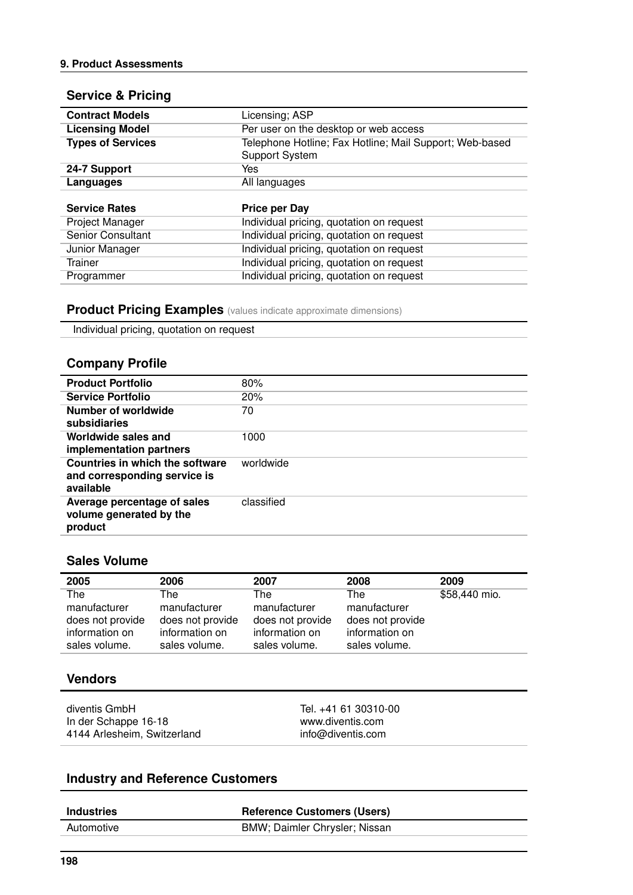#### **Service & Pricing**

| <b>Contract Models</b>   | Licensing; ASP                                                                   |
|--------------------------|----------------------------------------------------------------------------------|
| <b>Licensing Model</b>   | Per user on the desktop or web access                                            |
| <b>Types of Services</b> | Telephone Hotline; Fax Hotline; Mail Support; Web-based<br><b>Support System</b> |
| 24-7 Support             | Yes                                                                              |
| Languages                | All languages                                                                    |
|                          |                                                                                  |
| <b>Service Rates</b>     | <b>Price per Day</b>                                                             |
|                          |                                                                                  |
| Project Manager          | Individual pricing, quotation on request                                         |
| Senior Consultant        | Individual pricing, quotation on request                                         |
| Junior Manager           | Individual pricing, quotation on request                                         |
| <b>Trainer</b>           | Individual pricing, quotation on request                                         |

#### **Product Pricing Examples** (values indicate approximate dimensions)

Individual pricing, quotation on request

#### **Company Profile**

| <b>Product Portfolio</b>                                                            | 80%        |
|-------------------------------------------------------------------------------------|------------|
| <b>Service Portfolio</b>                                                            | 20%        |
| Number of worldwide<br>subsidiaries                                                 | 70         |
| Worldwide sales and<br>implementation partners                                      | 1000       |
| <b>Countries in which the software</b><br>and corresponding service is<br>available | worldwide  |
| Average percentage of sales<br>volume generated by the<br>product                   | classified |
|                                                                                     |            |

#### **Sales Volume**

| 2005             | 2006             | 2007             | 2008             | 2009          |
|------------------|------------------|------------------|------------------|---------------|
| The              | The              | The              | The              | \$58,440 mio. |
| manufacturer     | manufacturer     | manufacturer     | manufacturer     |               |
| does not provide | does not provide | does not provide | does not provide |               |
| information on   | information on   | information on   | information on   |               |
| sales volume.    | sales volume.    | sales volume.    | sales volume.    |               |
|                  |                  |                  |                  |               |

#### **Vendors**

diventis GmbH In der Schappe 16-18 4144 Arlesheim, Switzerland Tel. +41 61 30310-00 www.diventis.com info@diventis.com

### **Industry and Reference Customers**

| <b>Industries</b> | <b>Reference Customers (Users)</b> |
|-------------------|------------------------------------|
| Automotive        | BMW; Daimler Chrysler; Nissan      |
|                   |                                    |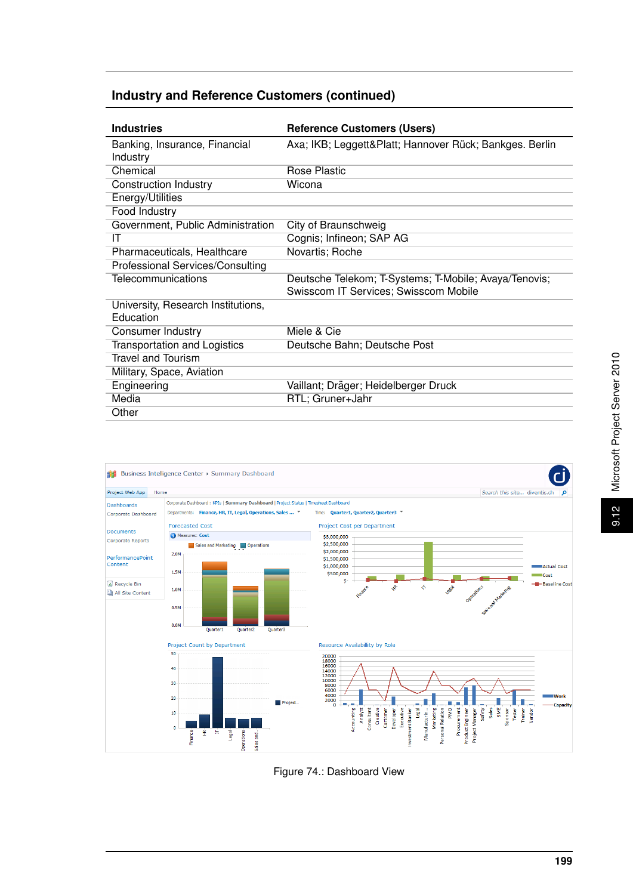#### **Industry and Reference Customers (continued)**

| <b>Industries</b>                   | <b>Reference Customers (Users)</b>                     |  |  |  |  |  |
|-------------------------------------|--------------------------------------------------------|--|--|--|--|--|
| Banking, Insurance, Financial       | Axa; IKB; Leggett&Platt Hannover Rück; Bankges. Berlin |  |  |  |  |  |
| Industry                            |                                                        |  |  |  |  |  |
| Chemical                            | Rose Plastic                                           |  |  |  |  |  |
| <b>Construction Industry</b>        | Wicona                                                 |  |  |  |  |  |
| Energy/Utilities                    |                                                        |  |  |  |  |  |
| Food Industry                       |                                                        |  |  |  |  |  |
| Government, Public Administration   | City of Braunschweig                                   |  |  |  |  |  |
| ΙT                                  | Cognis; Infineon; SAP AG                               |  |  |  |  |  |
| Pharmaceuticals, Healthcare         | Novartis; Roche                                        |  |  |  |  |  |
| Professional Services/Consulting    |                                                        |  |  |  |  |  |
| Telecommunications                  | Deutsche Telekom; T-Systems; T-Mobile; Avaya/Tenovis;  |  |  |  |  |  |
|                                     | Swisscom IT Services; Swisscom Mobile                  |  |  |  |  |  |
| University, Research Institutions,  |                                                        |  |  |  |  |  |
| Education                           |                                                        |  |  |  |  |  |
| Consumer Industry                   | Miele & Cie                                            |  |  |  |  |  |
| <b>Transportation and Logistics</b> | Deutsche Bahn; Deutsche Post                           |  |  |  |  |  |
| <b>Travel and Tourism</b>           |                                                        |  |  |  |  |  |
| Military, Space, Aviation           |                                                        |  |  |  |  |  |
| Engineering                         | Vaillant; Dräger; Heidelberger Druck                   |  |  |  |  |  |
| Media                               | RTL; Gruner+Jahr                                       |  |  |  |  |  |
| Other                               |                                                        |  |  |  |  |  |



Figure 74.: Dashboard View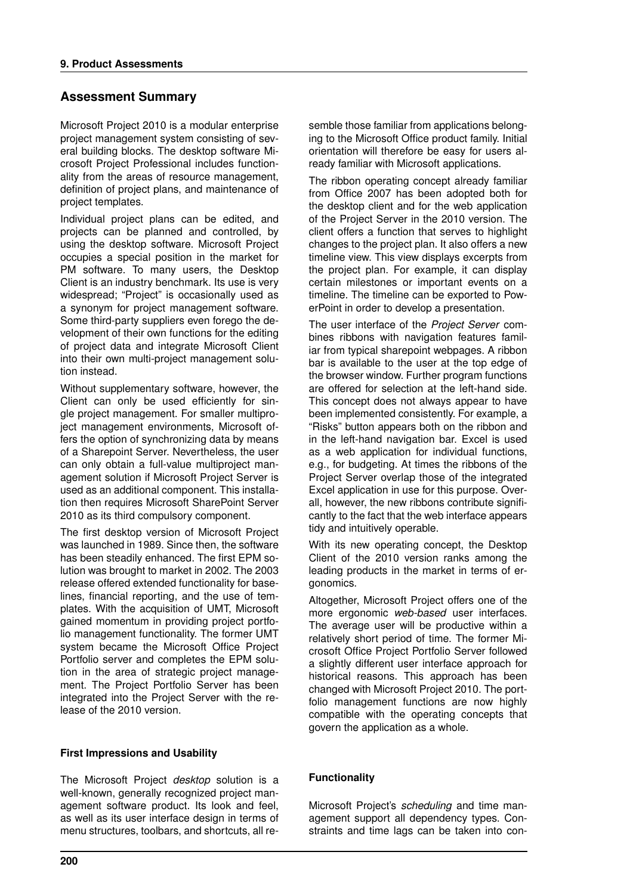#### **Assessment Summary**

Microsoft Project 2010 is a modular enterprise project management system consisting of several building blocks. The desktop software Microsoft Project Professional includes functionality from the areas of resource management, definition of project plans, and maintenance of project templates.

Individual project plans can be edited, and projects can be planned and controlled, by using the desktop software. Microsoft Project occupies a special position in the market for PM software. To many users, the Desktop Client is an industry benchmark. Its use is very widespread; "Project" is occasionally used as a synonym for project management software. Some third-party suppliers even forego the development of their own functions for the editing of project data and integrate Microsoft Client into their own multi-project management solution instead.

Without supplementary software, however, the Client can only be used efficiently for single project management. For smaller multiproject management environments, Microsoft offers the option of synchronizing data by means of a Sharepoint Server. Nevertheless, the user can only obtain a full-value multiproject management solution if Microsoft Project Server is used as an additional component. This installation then requires Microsoft SharePoint Server 2010 as its third compulsory component.

The first desktop version of Microsoft Project was launched in 1989. Since then, the software has been steadily enhanced. The first EPM solution was brought to market in 2002. The 2003 release offered extended functionality for baselines, financial reporting, and the use of templates. With the acquisition of UMT, Microsoft gained momentum in providing project portfolio management functionality. The former UMT system became the Microsoft Office Project Portfolio server and completes the EPM solution in the area of strategic project management. The Project Portfolio Server has been integrated into the Project Server with the release of the 2010 version.

#### **First Impressions and Usability**

The Microsoft Project *desktop* solution is a well-known, generally recognized project management software product. Its look and feel, as well as its user interface design in terms of menu structures, toolbars, and shortcuts, all resemble those familiar from applications belonging to the Microsoft Office product family. Initial orientation will therefore be easy for users already familiar with Microsoft applications.

The ribbon operating concept already familiar from Office 2007 has been adopted both for the desktop client and for the web application of the Project Server in the 2010 version. The client offers a function that serves to highlight changes to the project plan. It also offers a new timeline view. This view displays excerpts from the project plan. For example, it can display certain milestones or important events on a timeline. The timeline can be exported to PowerPoint in order to develop a presentation.

The user interface of the *Project Server* combines ribbons with navigation features familiar from typical sharepoint webpages. A ribbon bar is available to the user at the top edge of the browser window. Further program functions are offered for selection at the left-hand side. This concept does not always appear to have been implemented consistently. For example, a "Risks" button appears both on the ribbon and in the left-hand navigation bar. Excel is used as a web application for individual functions, e.g., for budgeting. At times the ribbons of the Project Server overlap those of the integrated Excel application in use for this purpose. Overall, however, the new ribbons contribute significantly to the fact that the web interface appears tidy and intuitively operable.

With its new operating concept, the Desktop Client of the 2010 version ranks among the leading products in the market in terms of ergonomics.

Altogether, Microsoft Project offers one of the more ergonomic *web-based* user interfaces. The average user will be productive within a relatively short period of time. The former Microsoft Office Project Portfolio Server followed a slightly different user interface approach for historical reasons. This approach has been changed with Microsoft Project 2010. The portfolio management functions are now highly compatible with the operating concepts that govern the application as a whole.

#### **Functionality**

Microsoft Project's *scheduling* and time management support all dependency types. Constraints and time lags can be taken into con-